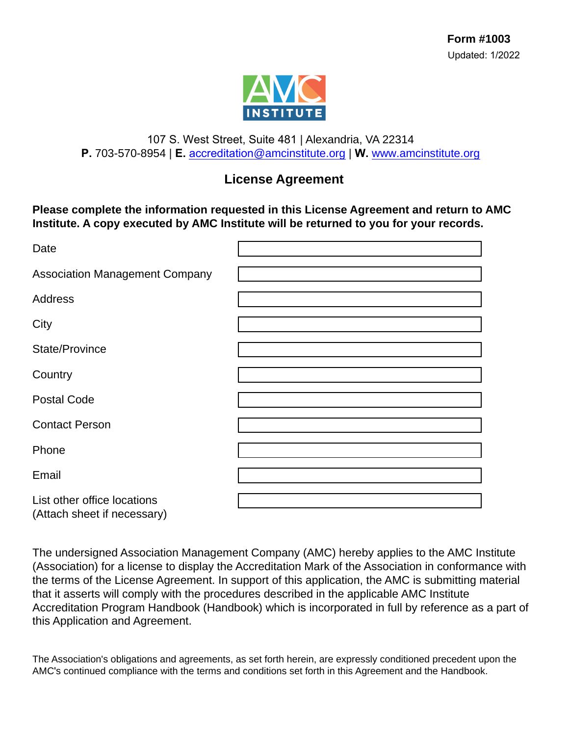

#### 107 S. West Street, Suite 481 | Alexandria, VA 22314 **P.** 703-570-8954 | **E.** accreditation[@amcinstitute.org](mailto:accreditation@amcinstitute.org) | **W.** [www.amcinstitute.org](http://www.amcinstitute.org)

### **License Agreement**

**Please complete the information requested in this License Agreement and return to AMC Institute. A copy executed by AMC Institute will be returned to you for your records.** 

| Date                                                       |  |
|------------------------------------------------------------|--|
| <b>Association Management Company</b>                      |  |
| <b>Address</b>                                             |  |
| City                                                       |  |
| State/Province                                             |  |
| Country                                                    |  |
| <b>Postal Code</b>                                         |  |
| <b>Contact Person</b>                                      |  |
| Phone                                                      |  |
| Email                                                      |  |
| List other office locations<br>(Attach sheet if necessary) |  |

The undersigned Association Management Company (AMC) hereby applies to the AMC Institute (Association) for a license to display the Accreditation Mark of the Association in conformance with the terms of the License Agreement. In support of this application, the AMC is submitting material that it asserts will comply with the procedures described in the applicable AMC Institute Accreditation Program Handbook (Handbook) which is incorporated in full by reference as a part of this Application and Agreement.

The Association's obligations and agreements, as set forth herein, are expressly conditioned precedent upon the AMC's continued compliance with the terms and conditions set forth in this Agreement and the Handbook.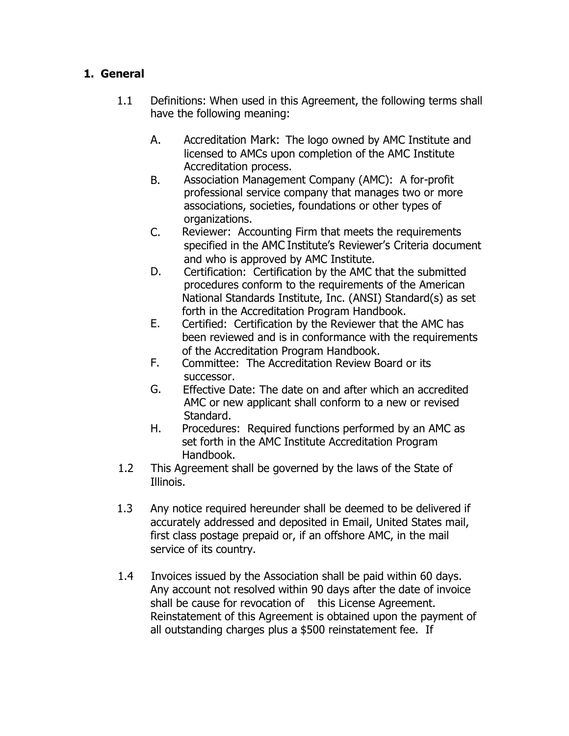#### **1. General**

- 1.1 Definitions: When used in this Agreement, the following terms shall have the following meaning:
	- A. Accreditation Mark: The logo owned by AMC Institute and licensed to AMCs upon completion of the AMC Institute Accreditation process.
	- B. Association Management Company (AMC): A for-profit professional service company that manages two or more associations, societies, foundations or other types of organizations.
	- C. Reviewer: Accounting Firm that meets the requirements specified in the AMC Institute's Reviewer's Criteria document and who is approved by AMC Institute.
	- D. Certification: Certification by the AMC that the submitted procedures conform to the requirements of the American National Standards Institute, Inc. (ANSI) Standard(s) as set forth in the Accreditation Program Handbook.
	- E. Certified: Certification by the Reviewer that the AMC has been reviewed and is in conformance with the requirements of the Accreditation Program Handbook.
	- F. Committee: The Accreditation Review Board or its successor.
	- G. Effective Date: The date on and after which an accredited AMC or new applicant shall conform to a new or revised Standard.
	- H. Procedures: Required functions performed by an AMC as set forth in the AMC Institute Accreditation Program Handbook.
- 1.2 This Agreement shall be governed by the laws of the State of Illinois.
- 1.3 Any notice required hereunder shall be deemed to be delivered if accurately addressed and deposited in Email, United States mail, first class postage prepaid or, if an offshore AMC, in the mail service of its country.
- 1.4 Invoices issued by the Association shall be paid within 60 days. Any account not resolved within 90 days after the date of invoice shall be cause for revocation of this License Agreement. Reinstatement of this Agreement is obtained upon the payment of all outstanding charges plus a \$500 reinstatement fee. If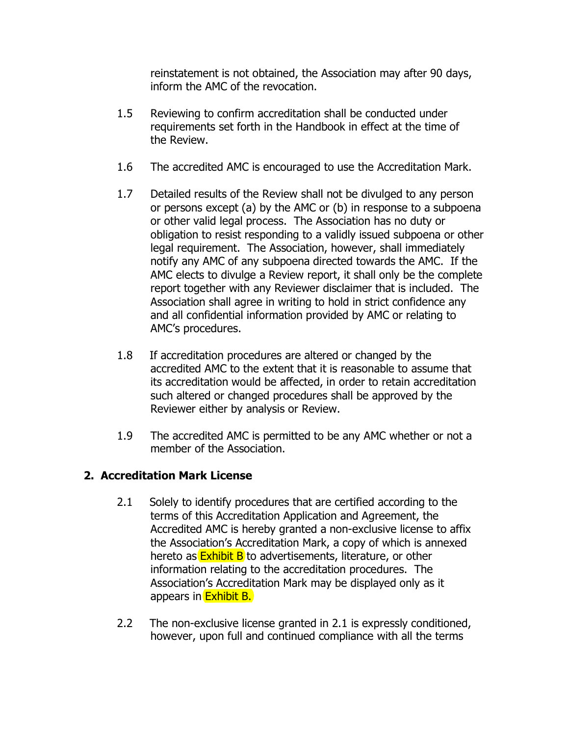reinstatement is not obtained, the Association may after 90 days, inform the AMC of the revocation.

- 1.5 Reviewing to confirm accreditation shall be conducted under requirements set forth in the Handbook in effect at the time of the Review.
- 1.6 The accredited AMC is encouraged to use the Accreditation Mark.
- 1.7 Detailed results of the Review shall not be divulged to any person or persons except (a) by the AMC or (b) in response to a subpoena or other valid legal process. The Association has no duty or obligation to resist responding to a validly issued subpoena or other legal requirement. The Association, however, shall immediately notify any AMC of any subpoena directed towards the AMC. If the AMC elects to divulge a Review report, it shall only be the complete report together with any Reviewer disclaimer that is included. The Association shall agree in writing to hold in strict confidence any and all confidential information provided by AMC or relating to AMC's procedures.
- 1.8 If accreditation procedures are altered or changed by the accredited AMC to the extent that it is reasonable to assume that its accreditation would be affected, in order to retain accreditation such altered or changed procedures shall be approved by the Reviewer either by analysis or Review.
- 1.9 The accredited AMC is permitted to be any AMC whether or not a member of the Association.

#### **2. Accreditation Mark License**

- 2.1 Solely to identify procedures that are certified according to the terms of this Accreditation Application and Agreement, the Accredited AMC is hereby granted a non-exclusive license to affix the Association's Accreditation Mark, a copy of which is annexed hereto as **Exhibit B** to advertisements, literature, or other information relating to the accreditation procedures. The Association's Accreditation Mark may be displayed only as it appears in Exhibit B.
- 2.2 The non-exclusive license granted in 2.1 is expressly conditioned, however, upon full and continued compliance with all the terms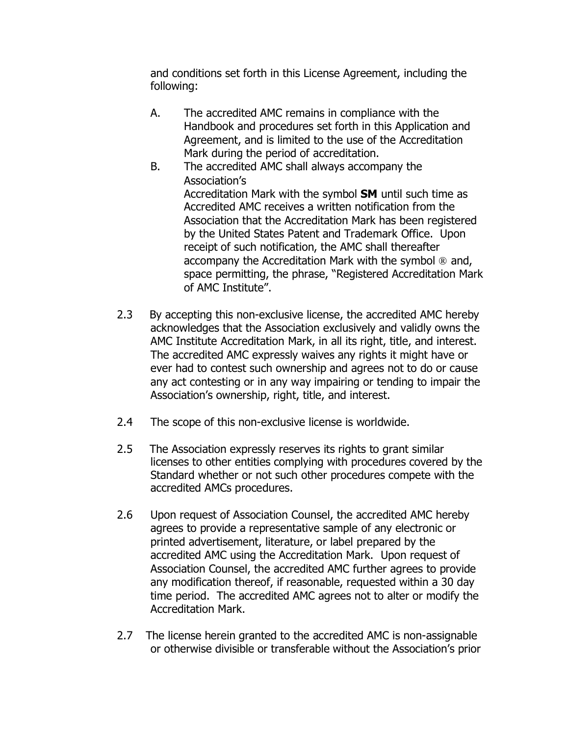and conditions set forth in this License Agreement, including the following:

- A. The accredited AMC remains in compliance with the Handbook and procedures set forth in this Application and Agreement, and is limited to the use of the Accreditation Mark during the period of accreditation.
- B. The accredited AMC shall always accompany the Association's Accreditation Mark with the symbol **SM** until such time as Accredited AMC receives a written notification from the Association that the Accreditation Mark has been registered by the United States Patent and Trademark Office. Upon receipt of such notification, the AMC shall thereafter accompany the Accreditation Mark with the symbol ® and, space permitting, the phrase, "Registered Accreditation Mark of AMC Institute".
- 2.3 By accepting this non-exclusive license, the accredited AMC hereby acknowledges that the Association exclusively and validly owns the AMC Institute Accreditation Mark, in all its right, title, and interest. The accredited AMC expressly waives any rights it might have or ever had to contest such ownership and agrees not to do or cause any act contesting or in any way impairing or tending to impair the Association's ownership, right, title, and interest.
- 2.4 The scope of this non-exclusive license is worldwide.
- 2.5 The Association expressly reserves its rights to grant similar licenses to other entities complying with procedures covered by the Standard whether or not such other procedures compete with the accredited AMCs procedures.
- 2.6 Upon request of Association Counsel, the accredited AMC hereby agrees to provide a representative sample of any electronic or printed advertisement, literature, or label prepared by the accredited AMC using the Accreditation Mark. Upon request of Association Counsel, the accredited AMC further agrees to provide any modification thereof, if reasonable, requested within a 30 day time period. The accredited AMC agrees not to alter or modify the Accreditation Mark.
- 2.7 The license herein granted to the accredited AMC is non-assignable or otherwise divisible or transferable without the Association's prior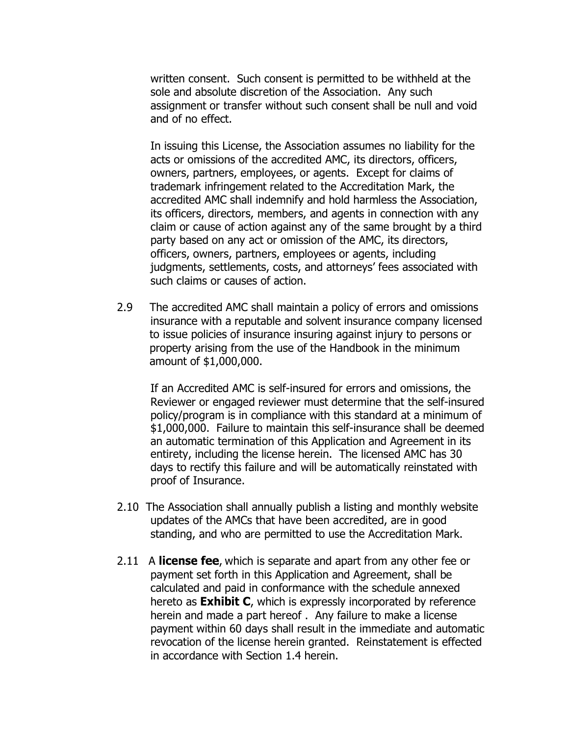written consent. Such consent is permitted to be withheld at the sole and absolute discretion of the Association. Any such assignment or transfer without such consent shall be null and void and of no effect.

In issuing this License, the Association assumes no liability for the acts or omissions of the accredited AMC, its directors, officers, owners, partners, employees, or agents. Except for claims of trademark infringement related to the Accreditation Mark, the accredited AMC shall indemnify and hold harmless the Association, its officers, directors, members, and agents in connection with any claim or cause of action against any of the same brought by a third party based on any act or omission of the AMC, its directors, officers, owners, partners, employees or agents, including judgments, settlements, costs, and attorneys' fees associated with such claims or causes of action.

2.9 The accredited AMC shall maintain a policy of errors and omissions insurance with a reputable and solvent insurance company licensed to issue policies of insurance insuring against injury to persons or property arising from the use of the Handbook in the minimum amount of \$1,000,000.

If an Accredited AMC is self-insured for errors and omissions, the Reviewer or engaged reviewer must determine that the self-insured policy/program is in compliance with this standard at a minimum of \$1,000,000. Failure to maintain this self-insurance shall be deemed an automatic termination of this Application and Agreement in its entirety, including the license herein. The licensed AMC has 30 days to rectify this failure and will be automatically reinstated with proof of Insurance.

- 2.10 The Association shall annually publish a listing and monthly website updates of the AMCs that have been accredited, are in good standing, and who are permitted to use the Accreditation Mark.
- 2.11 A **license fee**, which is separate and apart from any other fee or payment set forth in this Application and Agreement, shall be calculated and paid in conformance with the schedule annexed hereto as **Exhibit C**, which is expressly incorporated by reference herein and made a part hereof . Any failure to make a license payment within 60 days shall result in the immediate and automatic revocation of the license herein granted. Reinstatement is effected in accordance with Section 1.4 herein.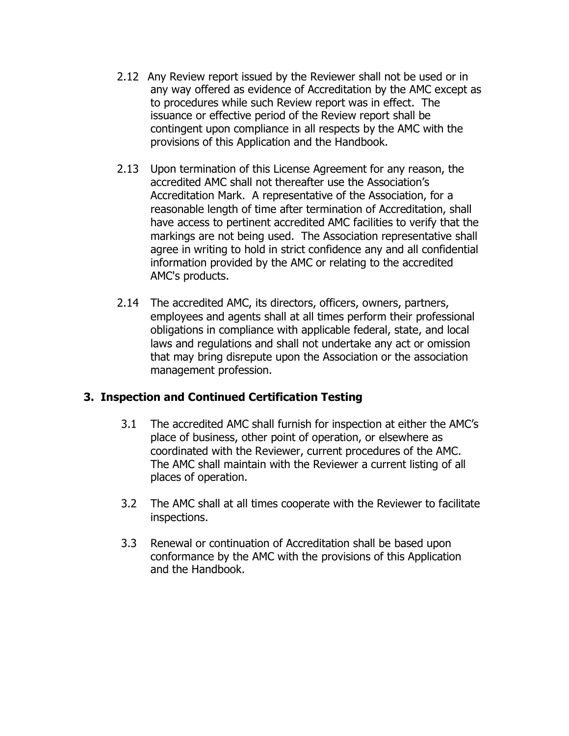- 2.12 Any Review report issued by the Reviewer shall not be used or in any way offered as evidence of Accreditation by the AMC except as to procedures while such Review report was in effect. The issuance or effective period of the Review report shall be contingent upon compliance in all respects by the AMC with the provisions of this Application and the Handbook.
- 2.13 Upon termination of this License Agreement for any reason, the accredited AMC shall not thereafter use the Association's Accreditation Mark. A representative of the Association, for a reasonable length of time after termination of Accreditation, shall have access to pertinent accredited AMC facilities to verify that the markings are not being used. The Association representative shall agree in writing to hold in strict confidence any and all confidential information provided by the AMC or relating to the accredited AMC's products.
- 2.14 The accredited AMC, its directors, officers, owners, partners, employees and agents shall at all times perform their professional obligations in compliance with applicable federal, state, and local laws and regulations and shall not undertake any act or omission that may bring disrepute upon the Association or the association management profession.

#### **3. Inspection and Continued Certification Testing**

- 3.1 The accredited AMC shall furnish for inspection at either the AMC's place of business, other point of operation, or elsewhere as coordinated with the Reviewer, current procedures of the AMC. The AMC shall maintain with the Reviewer a current listing of all places of operation.
- 3.2 The AMC shall at all times cooperate with the Reviewer to facilitate inspections.
- 3.3 Renewal or continuation of Accreditation shall be based upon conformance by the AMC with the provisions of this Application and the Handbook.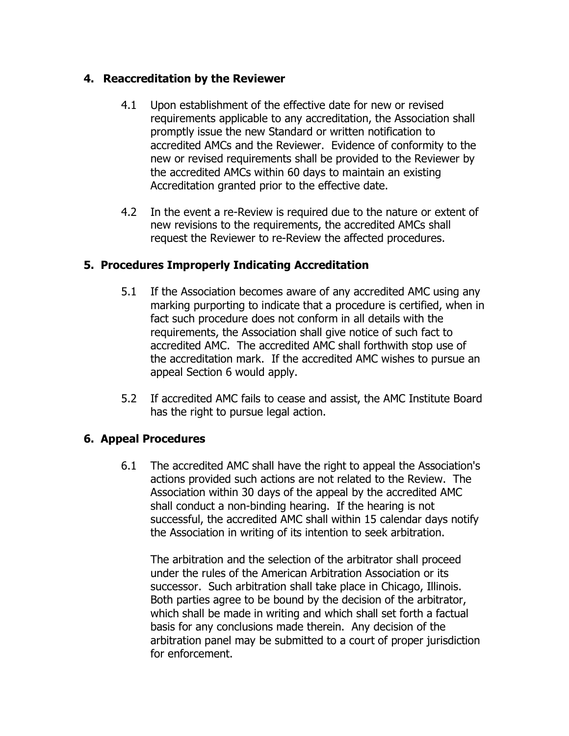#### **4. Reaccreditation by the Reviewer**

- 4.1 Upon establishment of the effective date for new or revised requirements applicable to any accreditation, the Association shall promptly issue the new Standard or written notification to accredited AMCs and the Reviewer. Evidence of conformity to the new or revised requirements shall be provided to the Reviewer by the accredited AMCs within 60 days to maintain an existing Accreditation granted prior to the effective date.
- 4.2 In the event a re-Review is required due to the nature or extent of new revisions to the requirements, the accredited AMCs shall request the Reviewer to re-Review the affected procedures.

#### **5. Procedures Improperly Indicating Accreditation**

- 5.1 If the Association becomes aware of any accredited AMC using any marking purporting to indicate that a procedure is certified, when in fact such procedure does not conform in all details with the requirements, the Association shall give notice of such fact to accredited AMC. The accredited AMC shall forthwith stop use of the accreditation mark. If the accredited AMC wishes to pursue an appeal Section 6 would apply.
- 5.2 If accredited AMC fails to cease and assist, the AMC Institute Board has the right to pursue legal action.

#### **6. Appeal Procedures**

6.1 The accredited AMC shall have the right to appeal the Association's actions provided such actions are not related to the Review. The Association within 30 days of the appeal by the accredited AMC shall conduct a non-binding hearing. If the hearing is not successful, the accredited AMC shall within 15 calendar days notify the Association in writing of its intention to seek arbitration.

The arbitration and the selection of the arbitrator shall proceed under the rules of the American Arbitration Association or its successor. Such arbitration shall take place in Chicago, Illinois. Both parties agree to be bound by the decision of the arbitrator, which shall be made in writing and which shall set forth a factual basis for any conclusions made therein. Any decision of the arbitration panel may be submitted to a court of proper jurisdiction for enforcement.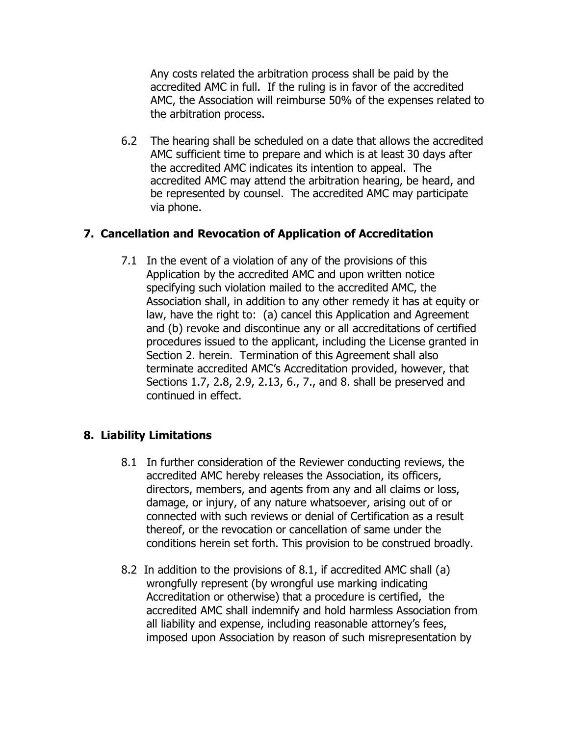Any costs related the arbitration process shall be paid by the accredited AMC in full. If the ruling is in favor of the accredited AMC, the Association will reimburse 50% of the expenses related to the arbitration process.

6.2 The hearing shall be scheduled on a date that allows the accredited AMC sufficient time to prepare and which is at least 30 days after the accredited AMC indicates its intention to appeal. The accredited AMC may attend the arbitration hearing, be heard, and be represented by counsel. The accredited AMC may participate via phone.

#### **7. Cancellation and Revocation of Application of Accreditation**

7.1 In the event of a violation of any of the provisions of this Application by the accredited AMC and upon written notice specifying such violation mailed to the accredited AMC, the Association shall, in addition to any other remedy it has at equity or law, have the right to: (a) cancel this Application and Agreement and (b) revoke and discontinue any or all accreditations of certified procedures issued to the applicant, including the License granted in Section 2. herein. Termination of this Agreement shall also terminate accredited AMC's Accreditation provided, however, that Sections 1.7, 2.8, 2.9, 2.13, 6., 7., and 8. shall be preserved and continued in effect.

#### **8. Liability Limitations**

- 8.1 In further consideration of the Reviewer conducting reviews, the accredited AMC hereby releases the Association, its officers, directors, members, and agents from any and all claims or loss, damage, or injury, of any nature whatsoever, arising out of or connected with such reviews or denial of Certification as a result thereof, or the revocation or cancellation of same under the conditions herein set forth. This provision to be construed broadly.
- 8.2 In addition to the provisions of 8.1, if accredited AMC shall (a) wrongfully represent (by wrongful use marking indicating Accreditation or otherwise) that a procedure is certified, the accredited AMC shall indemnify and hold harmless Association from all liability and expense, including reasonable attorney's fees, imposed upon Association by reason of such misrepresentation by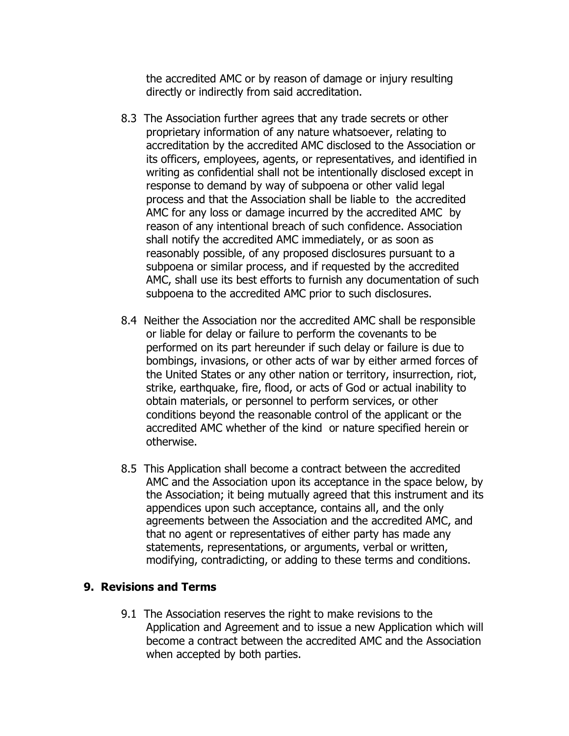the accredited AMC or by reason of damage or injury resulting directly or indirectly from said accreditation.

- 8.3 The Association further agrees that any trade secrets or other proprietary information of any nature whatsoever, relating to accreditation by the accredited AMC disclosed to the Association or its officers, employees, agents, or representatives, and identified in writing as confidential shall not be intentionally disclosed except in response to demand by way of subpoena or other valid legal process and that the Association shall be liable to the accredited AMC for any loss or damage incurred by the accredited AMC by reason of any intentional breach of such confidence. Association shall notify the accredited AMC immediately, or as soon as reasonably possible, of any proposed disclosures pursuant to a subpoena or similar process, and if requested by the accredited AMC, shall use its best efforts to furnish any documentation of such subpoena to the accredited AMC prior to such disclosures.
- 8.4 Neither the Association nor the accredited AMC shall be responsible or liable for delay or failure to perform the covenants to be performed on its part hereunder if such delay or failure is due to bombings, invasions, or other acts of war by either armed forces of the United States or any other nation or territory, insurrection, riot, strike, earthquake, fire, flood, or acts of God or actual inability to obtain materials, or personnel to perform services, or other conditions beyond the reasonable control of the applicant or the accredited AMC whether of the kind or nature specified herein or otherwise.
- 8.5 This Application shall become a contract between the accredited AMC and the Association upon its acceptance in the space below, by the Association; it being mutually agreed that this instrument and its appendices upon such acceptance, contains all, and the only agreements between the Association and the accredited AMC, and that no agent or representatives of either party has made any statements, representations, or arguments, verbal or written, modifying, contradicting, or adding to these terms and conditions.

#### **9. Revisions and Terms**

9.1 The Association reserves the right to make revisions to the Application and Agreement and to issue a new Application which will become a contract between the accredited AMC and the Association when accepted by both parties.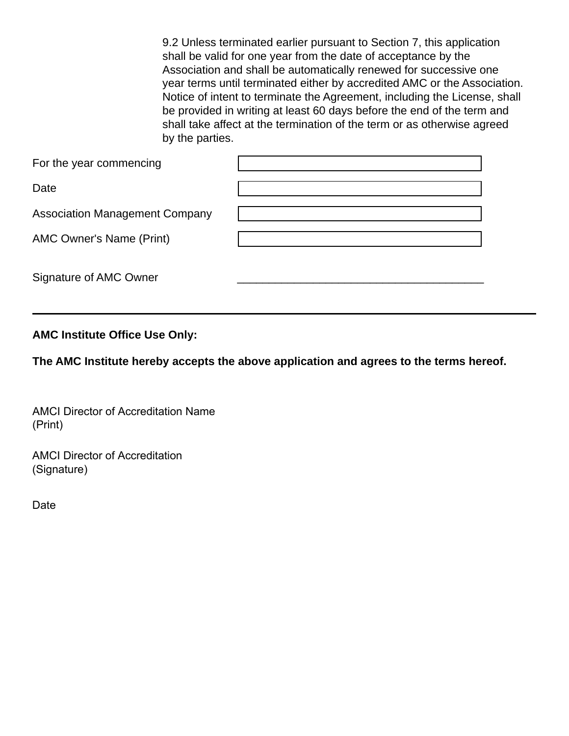9.2 Unless terminated earlier pursuant to Section 7, this application shall be valid for one year from the date of acceptance by the Association and shall be automatically renewed for successive one year terms until terminated either by accredited AMC or the Association. Notice of intent to terminate the Agreement, including the License, shall be provided in writing at least 60 days before the end of the term and shall take affect at the termination of the term or as otherwise agreed by the parties.

| For the year commencing               |  |
|---------------------------------------|--|
| Date                                  |  |
| <b>Association Management Company</b> |  |
| <b>AMC Owner's Name (Print)</b>       |  |
| Signature of AMC Owner                |  |

#### **AMC Institute Office Use Only:**

**The AMC Institute hereby accepts the above application and agrees to the terms hereof.** 

AMCI Director of Accreditation Name (Print)

AMCI Director of Accreditation (Signature)

Date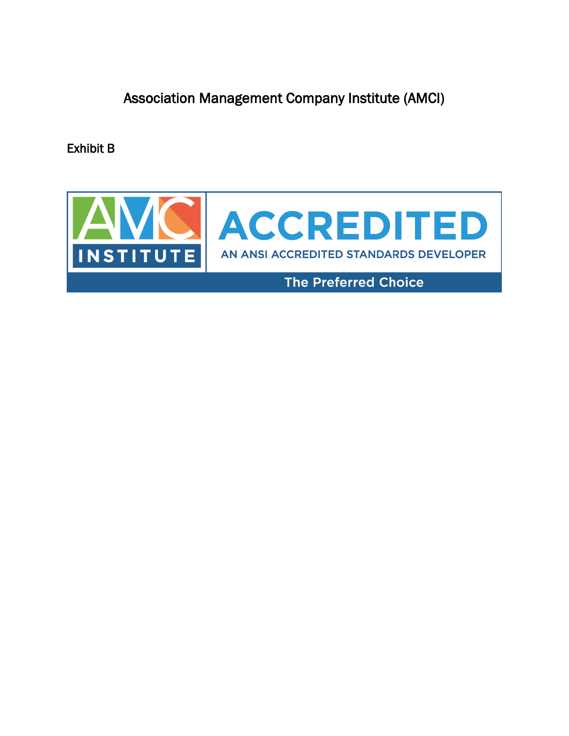Association Management Company Institute (AMCI)

Exhibit B